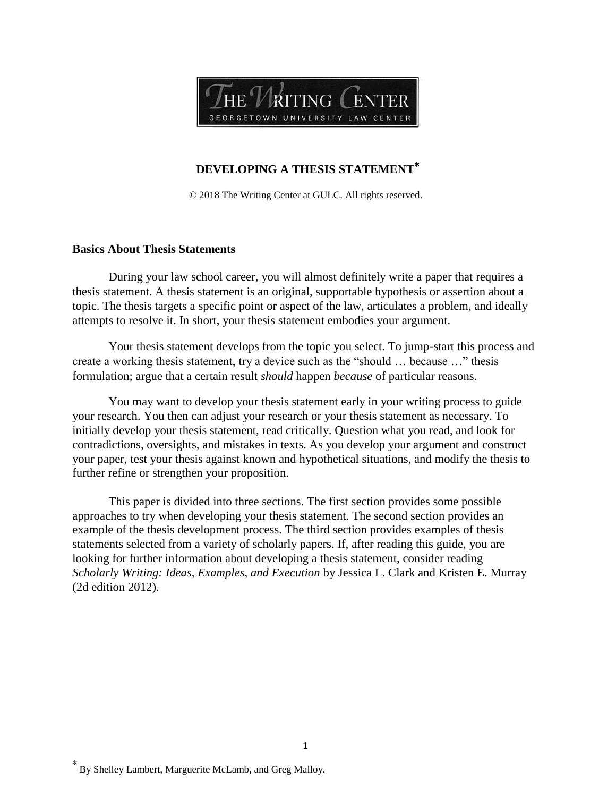

## **DEVELOPING A THESIS STATEMENT**<sup>∗</sup>

© 2018 The Writing Center at GULC. All rights reserved.

### **Basics About Thesis Statements**

During your law school career, you will almost definitely write a paper that requires a thesis statement. A thesis statement is an original, supportable hypothesis or assertion about a topic. The thesis targets a specific point or aspect of the law, articulates a problem, and ideally attempts to resolve it. In short, your thesis statement embodies your argument.

Your thesis statement develops from the topic you select. To jump-start this process and create a working thesis statement, try a device such as the "should … because …" thesis formulation; argue that a certain result *should* happen *because* of particular reasons.

You may want to develop your thesis statement early in your writing process to guide your research. You then can adjust your research or your thesis statement as necessary. To initially develop your thesis statement, read critically. Question what you read, and look for contradictions, oversights, and mistakes in texts. As you develop your argument and construct your paper, test your thesis against known and hypothetical situations, and modify the thesis to further refine or strengthen your proposition.

This paper is divided into three sections. The first section provides some possible approaches to try when developing your thesis statement. The second section provides an example of the thesis development process. The third section provides examples of thesis statements selected from a variety of scholarly papers. If, after reading this guide, you are looking for further information about developing a thesis statement, consider reading *Scholarly Writing: Ideas, Examples, and Execution* by Jessica L. Clark and Kristen E. Murray (2d edition 2012).

<sup>∗</sup> By Shelley Lambert, Marguerite McLamb, and Greg Malloy.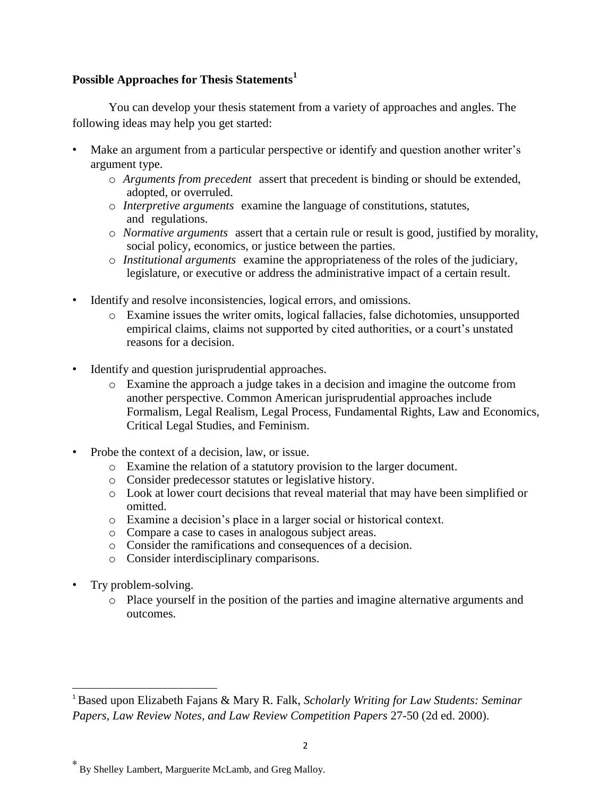# **Possible Approaches for Thesis Statements<sup>1</sup>**

You can develop your thesis statement from a variety of approaches and angles. The following ideas may help you get started:

- Make an argument from a particular perspective or identify and question another writer's argument type.
	- o *Arguments from precedent* assert that precedent is binding or should be extended, adopted, or overruled.
	- o *Interpretive arguments* examine the language of constitutions, statutes, and regulations.
	- o *Normative arguments* assert that a certain rule or result is good, justified by morality, social policy, economics, or justice between the parties.
	- o *Institutional arguments* examine the appropriateness of the roles of the judiciary, legislature, or executive or address the administrative impact of a certain result.
- Identify and resolve inconsistencies, logical errors, and omissions.
	- o Examine issues the writer omits, logical fallacies, false dichotomies, unsupported empirical claims, claims not supported by cited authorities, or a court's unstated reasons for a decision.
- Identify and question jurisprudential approaches.
	- o Examine the approach a judge takes in a decision and imagine the outcome from another perspective. Common American jurisprudential approaches include Formalism, Legal Realism, Legal Process, Fundamental Rights, Law and Economics, Critical Legal Studies, and Feminism.
- Probe the context of a decision, law, or issue.
	- o Examine the relation of a statutory provision to the larger document.
	- o Consider predecessor statutes or legislative history.
	- o Look at lower court decisions that reveal material that may have been simplified or omitted.
	- o Examine a decision's place in a larger social or historical context.
	- o Compare a case to cases in analogous subject areas.
	- o Consider the ramifications and consequences of a decision.
	- o Consider interdisciplinary comparisons.
- Try problem-solving.

 $\overline{a}$ 

o Place yourself in the position of the parties and imagine alternative arguments and outcomes.

<sup>1</sup> Based upon Elizabeth Fajans & Mary R. Falk, *Scholarly Writing for Law Students: Seminar Papers, Law Review Notes, and Law Review Competition Papers* 27-50 (2d ed. 2000).

<sup>∗</sup> By Shelley Lambert, Marguerite McLamb, and Greg Malloy.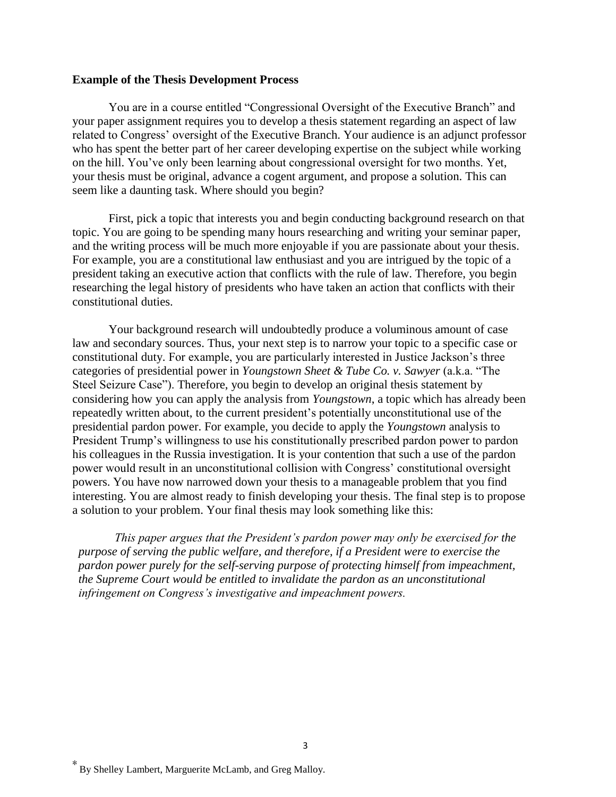#### **Example of the Thesis Development Process**

You are in a course entitled "Congressional Oversight of the Executive Branch" and your paper assignment requires you to develop a thesis statement regarding an aspect of law related to Congress' oversight of the Executive Branch. Your audience is an adjunct professor who has spent the better part of her career developing expertise on the subject while working on the hill. You've only been learning about congressional oversight for two months. Yet, your thesis must be original, advance a cogent argument, and propose a solution. This can seem like a daunting task. Where should you begin?

First, pick a topic that interests you and begin conducting background research on that topic. You are going to be spending many hours researching and writing your seminar paper, and the writing process will be much more enjoyable if you are passionate about your thesis. For example, you are a constitutional law enthusiast and you are intrigued by the topic of a president taking an executive action that conflicts with the rule of law. Therefore, you begin researching the legal history of presidents who have taken an action that conflicts with their constitutional duties.

Your background research will undoubtedly produce a voluminous amount of case law and secondary sources. Thus, your next step is to narrow your topic to a specific case or constitutional duty. For example, you are particularly interested in Justice Jackson's three categories of presidential power in *Youngstown Sheet & Tube Co. v. Sawyer* (a.k.a. "The Steel Seizure Case"). Therefore, you begin to develop an original thesis statement by considering how you can apply the analysis from *Youngstown*, a topic which has already been repeatedly written about, to the current president's potentially unconstitutional use of the presidential pardon power. For example, you decide to apply the *Youngstown* analysis to President Trump's willingness to use his constitutionally prescribed pardon power to pardon his colleagues in the Russia investigation. It is your contention that such a use of the pardon power would result in an unconstitutional collision with Congress' constitutional oversight powers. You have now narrowed down your thesis to a manageable problem that you find interesting. You are almost ready to finish developing your thesis. The final step is to propose a solution to your problem. Your final thesis may look something like this:

*This paper argues that the President's pardon power may only be exercised for the purpose of serving the public welfare, and therefore, if a President were to exercise the pardon power purely for the self-serving purpose of protecting himself from impeachment, the Supreme Court would be entitled to invalidate the pardon as an unconstitutional infringement on Congress's investigative and impeachment powers.*

<sup>∗</sup> By Shelley Lambert, Marguerite McLamb, and Greg Malloy.